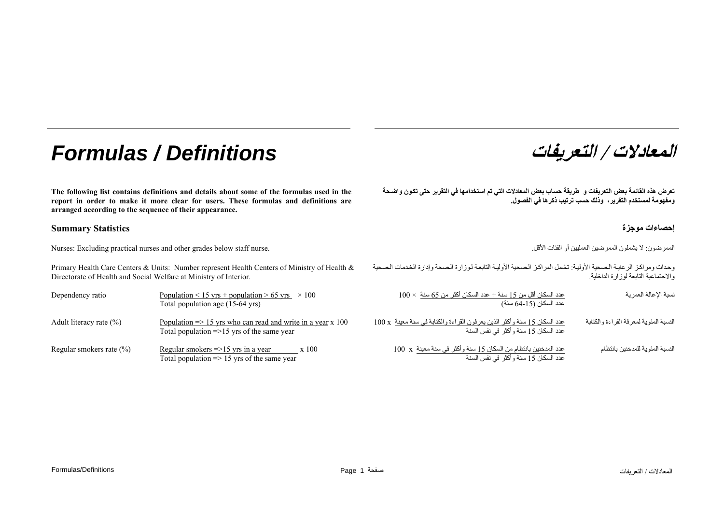# **/ التعريفات** *Definitions / Formulas*

**The following list contains definitions and details about some of the formulas used in the report in order to make it more clear for users. These formulas and definitions are arranged according to the sequence of their appearance.** 

### **إحصاءات موجزة Statistics Summary**

الممرضون: لا يشملون الممرضين العمليين أو الفئات الأقل الثاقل المعلنيين أو الفئات الأقل الممرضين العمليين أو الفئات الأقل الممرضون للممرضون الممرضون للممرضون الممرضون الممرضون الممرضون الممرضون الممرضون الممرضون الممرضون ا

Primary Health Care Centers & Units: Number represent Health Centers of Ministry of Health & Directorate of Health and Social Welfare at Ministry of Interior.

| Dependency ratio             | Population < 15 yrs + population > 65 yrs $\times$ 100<br>Total population age (15-64 yrs)                                   |
|------------------------------|------------------------------------------------------------------------------------------------------------------------------|
| Adult literacy rate $(\% )$  | Population $\Rightarrow$ 15 yrs who can read and write in a year x 100<br>Total population $\approx$ 15 yrs of the same year |
| Regular smokers rate $(\% )$ | Regular smokers $\approx$ 15 yrs in a year<br>x 100<br>Total population $\Rightarrow$ 15 yrs of the same year                |

**المعادلات**

تعرض هذه القائمة بعض التعريفات و طريقة حساب بعض المعادلات التي تم استخدامها في التقرير حتى تكون واضحة **ومفهومة لمستخدم التقرير، وذلك حسب ترتيب ذآرها في الفصول.** 

وحدات ومراكز الرعاية الصحية الأولية: تشمل المراكز الصحية الأولية التابعة لوزارة الصحة وإدارة الخدمات الصحية والاجتماعية التابعة لوزارة الداخلية.

| نسبة الإعالة العمرية                   | $100\times$ عدد السكان أقل من 15 سنة + عدد السكان أكثر من 65 سنة                                                             |
|----------------------------------------|------------------------------------------------------------------------------------------------------------------------------|
|                                        | عدد السكان (15-64 سنة)                                                                                                       |
| النسبة المئوية لمعرفة القراءة والكتابة | عدد السكان 15 سنة وأكثر الذين يعرفون القراءة والكتابة في سنة معينة  x  100<br>عدد السكان 15 سنة وأكثر  في نفس السنة<br>x 100 |
| النسبة المئوية للمدخنين بانتظام        | عدد المدخنين بانتظام من السكان 15 سنة وأكثر في سنة معينة x 100<br>عدد السكان 15 سنة وأكثر في نفس السنة                       |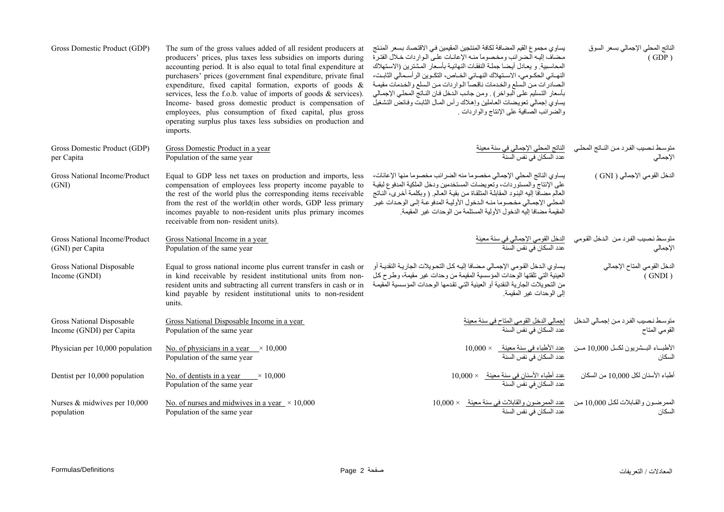| Gross Domestic Product (GDP)                          | The sum of the gross values added of all resident producers at<br>producers' prices, plus taxes less subsidies on imports during<br>accounting period. It is also equal to total final expenditure at<br>purchasers' prices (government final expenditure, private final<br>expenditure, fixed capital formation, exports of goods &<br>services, less the f.o.b. value of imports of goods $\&$ services).<br>Income- based gross domestic product is compensation of<br>employees, plus consumption of fixed capital, plus gross<br>operating surplus plus taxes less subsidies on production and<br>imports. | يساوي مجموع القيم المضافة لكافة المنتجين المقيمين في الاقتصاد بسعر المنتج<br>مضاف إليه الضرائب ومخصوما منه الإعانات على الواردات خلال الفترة<br>المحاسبية و يعادل أيضا جملة النفقات النهائية بأسعار المشترين (الاستهلاك<br>النهـائي الحكـومي، الاسـنهلاك النهـائي الخـاص، النكـوين الرأسـمالي الثابـت،<br>الصادرات من السلع والخدمات ناقصاً الواردات من السلع والخدمات مقيمة<br>بأسعار التسليم علىي البواخر) . ومن جانب الدخل فـان النـاتج المحلـى الإجمـالي<br>يساوي إجمالي نعويضات العاملين وإهلاك رأس المال الثابت وفائض التشغيل<br>والضرائب الصافية على الإنتاج والواردات . | الناتج المحلي الإجمالي بسعر السوق<br>(GDP)                                                                             |
|-------------------------------------------------------|-----------------------------------------------------------------------------------------------------------------------------------------------------------------------------------------------------------------------------------------------------------------------------------------------------------------------------------------------------------------------------------------------------------------------------------------------------------------------------------------------------------------------------------------------------------------------------------------------------------------|---------------------------------------------------------------------------------------------------------------------------------------------------------------------------------------------------------------------------------------------------------------------------------------------------------------------------------------------------------------------------------------------------------------------------------------------------------------------------------------------------------------------------------------------------------------------------------|------------------------------------------------------------------------------------------------------------------------|
| Gross Domestic Product (GDP)<br>per Capita            | Gross Domestic Product in a year<br>Population of the same year                                                                                                                                                                                                                                                                                                                                                                                                                                                                                                                                                 | ا <u>لناتج المحلى الإجمالى فى سنة معينة</u><br>عدد السكان فى نفس السنة                                                                                                                                                                                                                                                                                                                                                                                                                                                                                                          | متوسط نـصيب الفـرد مـن النــاتج المحلـي<br>الإجمالـي<br>الإجمالي                                                       |
| Gross National Income/Product<br>(GND)                | Equal to GDP less net taxes on production and imports, less<br>compensation of employees less property income payable to<br>the rest of the world plus the corresponding items receivable<br>from the rest of the world(in other words, GDP less primary<br>incomes payable to non-resident units plus primary incomes<br>receivable from non-resident units).                                                                                                                                                                                                                                                  | يساوي الناتج المحلي الإجمالي مخصوما منه الضرائب مخصوما منها الإعانات،<br>على الإنتاج والمستوردات، وتعويضات المستخدمين ودخل الملكية المدفوع لبقية<br>العالم مضاّفا إليه البنود المقابلة المتلقاة من بقية العالم (وبكلمة أخرى، الناتج<br>المحلي الإجمالي مخصوما منه الدخول الأولية المدفوعة إلىي الوحدات غير<br>المقيمة مضافا إليه الدخول الأولية المستلمة من الوحدات غير المقيمة.                                                                                                                                                                                                | الدخل القومي الإجمالي ( GNI )                                                                                          |
| Gross National Income/Product<br>(GNI) per Capita     | Gross National Income in a year<br>Population of the same year                                                                                                                                                                                                                                                                                                                                                                                                                                                                                                                                                  | الدخل القومي الإجمالي في سنة معينة<br>عدد السكان في نفس السنة                                                                                                                                                                                                                                                                                                                                                                                                                                                                                                                   | منوسط نصيب الفرد من الدخل القومي<br>الإجمالي                                                                           |
| Gross National Disposable<br>Income (GNDI)            | Equal to gross national income plus current transfer in cash or<br>in kind receivable by resident institutional units from non-<br>resident units and subtracting all current transfers in cash or in<br>kind payable by resident institutional units to non-resident<br>units.                                                                                                                                                                                                                                                                                                                                 | يساوي الدخل القومي الإجمالي مضافا إليه كل التحويلات الجارية النقدية أو<br>العينية التي تلقتها الوحدات المؤسسية المقيمة من وحدات غير مقيمة، وطرح كل<br>من التحويلات الجارية النقدية أو العينية التي تقدمها الوحدات المؤسسية المقيمة<br>إلى الوحدات غير المقيمة.                                                                                                                                                                                                                                                                                                                  | الدخل القومي المتاح الإجمالي<br>(GNDI)                                                                                 |
| Gross National Disposable<br>Income (GNDI) per Capita | Gross National Disposable Income in a year<br>Population of the same year                                                                                                                                                                                                                                                                                                                                                                                                                                                                                                                                       | <u>اجمالي الدخل القومي المتاح في سنة معينة</u><br>عدد السكان في نفس السنة                                                                                                                                                                                                                                                                                                                                                                                                                                                                                                       | متوسط نصيب الفرد من إجمالي الدخل<br>القومي المتاح                                                                      |
| Physician per 10,000 population                       | No. of physicians in a year $\times 10,000$<br>Population of the same year                                                                                                                                                                                                                                                                                                                                                                                                                                                                                                                                      |                                                                                                                                                                                                                                                                                                                                                                                                                                                                                                                                                                                 | الأطبــاء البـــشريون لكـــل 10,000 مـــن     ــــــد الأطباء في سنة معينة     × 10,000   .<br>عدد السكان في نفس السنة |
| Dentist per 10,000 population                         | No. of dentists in a year $\times 10,000$<br>Population of the same year                                                                                                                                                                                                                                                                                                                                                                                                                                                                                                                                        | <u>عدد أطباء الأسنان في سنة معينة     × 10,000</u><br>عدد السكان في نفس السنة                                                                                                                                                                                                                                                                                                                                                                                                                                                                                                   | أطباء الأسنان لكل 10,000 من السكان                                                                                     |
| Nurses & midwives per 10,000<br>population            | No. of nurses and midwives in a year $\times$ 10,000<br>Population of the same year                                                                                                                                                                                                                                                                                                                                                                                                                                                                                                                             |                                                                                                                                                                                                                                                                                                                                                                                                                                                                                                                                                                                 | الممرضون والقابلات لكل 10,000 من<br>السكان                                                                             |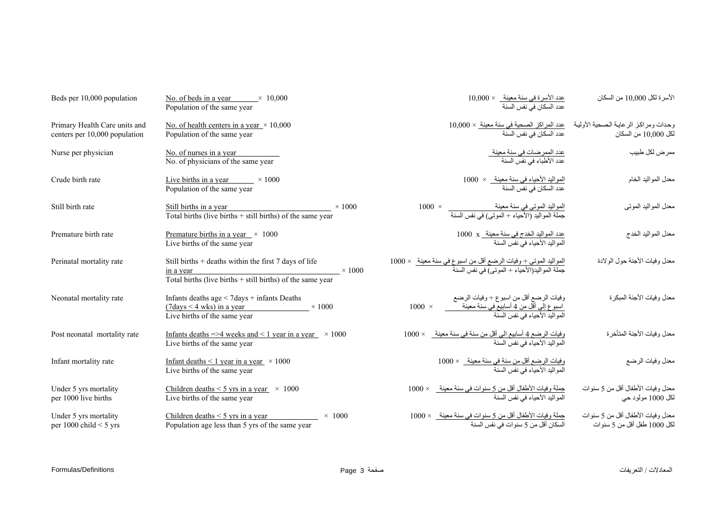| Beds per 10,000 population                                     | No. of beds in a year<br>$\times$ 10.000<br>Population of the same year                                                                               |                                                                                                                                      | الأسرة لكل 10,000 من السكان                                      |
|----------------------------------------------------------------|-------------------------------------------------------------------------------------------------------------------------------------------------------|--------------------------------------------------------------------------------------------------------------------------------------|------------------------------------------------------------------|
| Primary Health Care units and<br>centers per 10,000 population | No. of health centers in a year $\times$ 10,000<br>Population of the same year                                                                        | وحدات ومراكز الرعاية الصحية الأولية <u>عدد المراكز الصحية في سنة معينة</u> × 10,000<br>لكل 10,000 من السكان                          |                                                                  |
| Nurse per physician                                            | No. of nurses in a year<br>No. of physicians of the same year                                                                                         | <u>عدد الممرضات في سنة معينة<br/>عدد الأطباء في نفس السنة</u>                                                                        | ممر ض لكل طبيب                                                   |
| Crude birth rate                                               | Live births in a year $\times 1000$<br>Population of the same year                                                                                    | المواليد الأحياء في سنة معينة_ × 1000<br>عدد السكان في نفس السنة                                                                     | معدل المواليد الخام                                              |
| Still birth rate                                               | Still births in a year<br>$\times$ 1000<br>Still births in a year<br>Total births (live births $+$ still births) of the same year                     | المواليد الموتى في سنة معينة<br>جملة المواليد (الأحياء + الموتى) في نفس السنة                                                        | معدل المواليد الموتبي                                            |
| Premature birth rate                                           | Premature births in a year $\times$ 1000<br>Live births of the same year                                                                              | عدد المواليد الخدج في سنة معينة _ x 1000<br>المواليد الأحياء في نفس السنة                                                            | معدل المواليد الخدج                                              |
| Perinatal mortality rate                                       | Still births $+$ deaths within the first 7 days of life<br>$\times$ 1000<br>in a year<br>Total births (live births $+$ still births) of the same year | ا <u>لمواليد الموتى + وفيات الرضع أقل من اسيوع في سنة معينة   × 1000</u><br>جملة المواليد(الأحياء + الموتى) في نفس السنة             | معدل وفيات الأجنة حول الولادة                                    |
| Neonatal mortality rate                                        | Infants deaths $age < 7 days + infants$ Deaths<br>$(7 \text{days} < 4 \text{ wks})$ in a year<br>$\times 1000$<br>Live births of the same year        | وفيات الرضع أقل من اسبوع + وفيات الرضع<br>$1000 \times$<br>_ اسبوع إلى أقل من 4 أسابيع في سنة معينة<br>المواليد الأحياء في نفس السنة | معدل وفيات الأجنة المبكرة                                        |
| Post neonatal mortality rate                                   | Infants deaths =>4 weeks and < 1 year in a year $\times$ 1000<br>Live births of the same year                                                         | وفيات الرضع 4 أسابيع الى أقل من سنة في سنة معينة_ × 1000<br>المو البد الأحياء في نفس السنة                                           | معدل وفيات الأجنة المتأخرة                                       |
| Infant mortality rate                                          | Infant deaths $\leq 1$ year in a year $\times 1000$<br>Live births of the same year                                                                   | وفيات الرضع أقل من سنة في سنة معينة_ × 1000<br>المواليد الأحياء في نفس السنة                                                         | معدل وفيات الرضع                                                 |
| Under 5 yrs mortality<br>per 1000 live births                  | Children deaths $\leq$ 5 yrs in a year $\times$ 1000<br>Live births of the same year                                                                  | <u>جملة وفي</u> ات الأطفال أقل من 5 سنوات في سنة معينة_ × 1000<br>المواليد الأحياء في نفس السنة                                      | معدل وفيات الأطفال أقل من 5 سنوات<br>لكل 1000 مولود حي           |
| Under 5 yrs mortality<br>per 1000 child $<$ 5 yrs              | Children deaths $\leq$ 5 yrs in a year<br>$\times$ 1000<br>Population age less than 5 yrs of the same year                                            | جملة وفيات الأطفال أقل من 5 سنوات في سنة معينة_ × 1000<br>السكان أقل من 5 سنوات في نفس السنة                                         | معدل وفيات الأطفال أقل من 5 سنوات<br>لكل 1000 طفل أقل من 5 سنوات |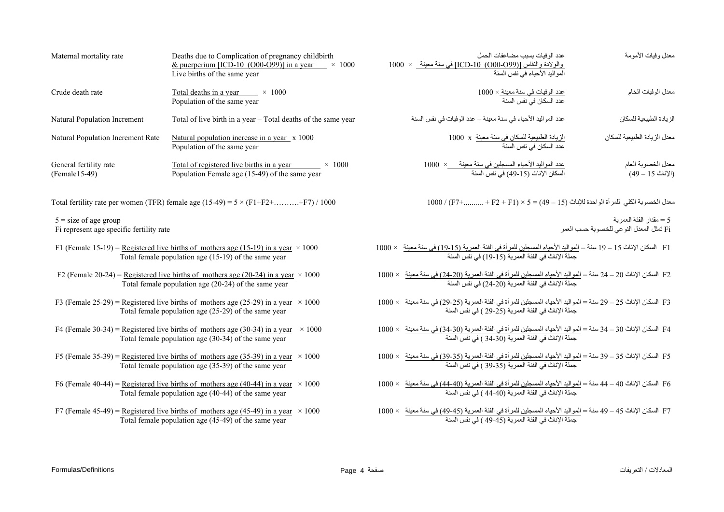| Maternal mortality rate                                             | Deaths due to Complication of pregnancy childbirth<br>& puerperium [ICD-10 (O00-O99)] in a year $\times$ 1000<br>Live births of the same year          | عدد الو فيات بسبب مضباعفات الحمل<br>والولادة والنفاس [(O00-O99) 10-ICD في سنة معينة × 1000<br>.<br>المو اليد الأحياء في نفس السنة                                                                     | معدل وفيات الأمومة                                                  |
|---------------------------------------------------------------------|--------------------------------------------------------------------------------------------------------------------------------------------------------|-------------------------------------------------------------------------------------------------------------------------------------------------------------------------------------------------------|---------------------------------------------------------------------|
| Crude death rate                                                    | Total deaths in a year $\times 1000$<br>Population of the same year                                                                                    | <u>عدد الوفيات في سنة معينة × 1</u> 000<br>عدد السكان في نفس السنة                                                                                                                                    | معدل الوفيات الخام                                                  |
| Natural Population Increment                                        | Total of live birth in a year - Total deaths of the same year                                                                                          | عدد المواليد الأحياء في سنة معينة – عدد الوفيات في نفس السنة                                                                                                                                          | الزيادة الطبيعية للسكان                                             |
| Natural Population Increment Rate                                   | Natural population increase in a year x 1000<br>Population of the same year                                                                            | الزيادة الطبيعية للسكان في سنة معينة  x   1000<br>عدد السكان في نفس السنة                                                                                                                             | معدل الزيادة الطبيعية للسكان                                        |
| General fertility rate<br>(Female15-49)                             | Total of registered live births in a year<br>$\times$ 1000<br>Population Female age (15-49) of the same year                                           | عدد المواليد الأحياء المسجلين في سنة معينة __×  1000<br>السكان الإناث (15-49) في نفس السنة                                                                                                            | معدل الخصوبة العام<br>$(49 - 15 \nightharpoonup 1)$                 |
|                                                                     | Total fertility rate per women (TFR) female age $(15-49) = 5 \times (F1 + F2 + \dots + F7) / 1000$                                                     | $1000$ / (F7+ + F2 + F1) $\times$ 5 = (49 – 15) معدل الخصوبة الكلي للمرأة الواحدة للإناث (15 – 49)                                                                                                    |                                                                     |
| $5 = size of age group$<br>Fi represent age specific fertility rate |                                                                                                                                                        |                                                                                                                                                                                                       | 5 = مقدار الفئة العمر بة<br>Fi تمثل المعدل النوعي للخصوبة حسب العمر |
|                                                                     | F1 (Female 15-19) = Registered live births of mothers age (15-19) in a year $\times$ 1000<br>Total female population age (15-19) of the same year      | F1   السكان الإناث 15 – 19 سنة = ا <u>لمواليد الأحي</u> اء المسجلين للمر أة في الفئة العمرية (15-19) في سنة معينة   × 1000<br>جملة الإناث في الفئة العمرية (15-19) في الفئة العمرية (15-19).          |                                                                     |
|                                                                     | F2 (Female 20-24) = Registered live births of mothers age (20-24) in a year $\times$ 1000<br>Total female population age (20-24) of the same year      | F2 السكان الإناث 20 – 24 سنة = <u>المواليد الأحي</u> اء المسجلين للمر أة في الفئة العمرية (20-24) في سنة معينة × 1000<br>جملة الإناث في الفئة العمرية (20-24) في نفس السنة                            |                                                                     |
|                                                                     | F3 (Female 25-29) = Registered live births of mothers age (25-29) in a year $\times$ 1000<br>Total female population age (25-29) of the same year      | F3 السكان الإناث 25 – 29 سنة = <u>المواليد الأحي</u> اء المسجلين للمر أة في الفئة العمرية <u>(25-29) في سنة معينة</u> × 1000<br>جملة الإناث 24 – المجلة الإناث في الفئة العمرية (25-29 ) في نفس السنة |                                                                     |
|                                                                     | F4 (Female 30-34) = Registered live births of mothers age $(30-34)$ in a year<br>$\times$ 1000<br>Total female population age (30-34) of the same year | F4   السكان الإناث 30 – 34 سنة = <u>المواليد الأحياء الم</u> سجلين <u>للمر</u> أة في الفئة العمرية (30-34) في سنة معينة   × 1000<br>جملة الإناث في الفئة العمرية (30-34 ) في نفس السنة                |                                                                     |
|                                                                     | F5 (Female 35-39) = Registered live births of mothers age (35-39) in a year $\times$ 1000<br>Total female population age (35-39) of the same year      | F5 السكان الإناث 35 – 39 سنة = <u>المواليد الأحياء الم</u> سجلين <u>للمر</u> أة في الفئة العمرية (3 <u>5-39) في سنة معينة</u> × 1000<br>جملة الإناث في الفئة العمرية (35-39 ) في نفس السنة            |                                                                     |
|                                                                     | F6 (Female 40-44) = Registered live births of mothers age (40-44) in a year $\times$ 1000<br>Total female population age (40-44) of the same year      | F6 السكان الإناث 40 – 44 سنة = <u>المواليد الأحياء الم</u> سجلين <u>للمر</u> أة في الفئة العمرية (40-44) في سنة معينة × 1000<br>جملة الإناث في الفئة العمرية (40-44 ) في نفس السنة                    |                                                                     |
|                                                                     | F7 (Female 45-49) = Registered live births of mothers age (45-49) in a year $\times$ 1000<br>Total female population age (45-49) of the same year      | F7 السكان الإناث 45 – 49 سنة = المواليد الأحياء المسجلين للمرأة في الفئة العمرية (45-49) في سنة معينة × 1000<br>جملة الإناث في الفئة العمرية (45-49 ) في نفس السنة                                    |                                                                     |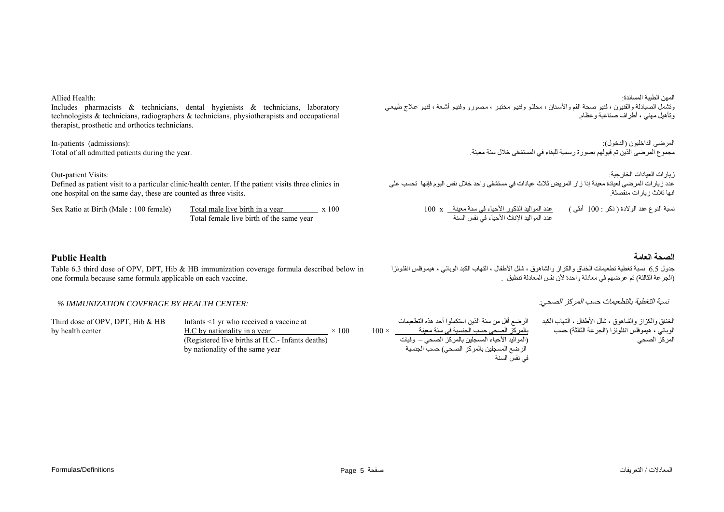Allied Health:

Includes pharmacists & technicians, dental hygienists & technicians, laboratory technologists & technicians, radiographers & technicians, physiotherapists and occupational therapist, prosthetic and orthotics technicians.

In-patients (admissions): Total of all admitted patients during the year.

#### Out-patient Visits:

**Public Health** 

Defined as patient visit to a particular clinic/health center. If the patient visits three clinics in one hospital on the same day, these are counted as three visits.

| Sex Ratio at Birth (Male : 100 female) | Total male live birth in a year          | x 100 |
|----------------------------------------|------------------------------------------|-------|
|                                        | Total female live birth of the same year |       |

Table 6.3 third dose of OPV, DPT, Hib & HB immunization coverage formula described below in

#### المهن الطبية المساندة: وتشمل الصيادلة والفنيون ، فنيو صحة الفم والأسنان ، محللو وفنيو مختبر ، مصورو وفنيو أشعة ، فنيو علاج طبيعي وتأهيل مهني ، أطراف صناعية وعظام.

المرضى الداخليون (الدخول): مجموع المرضى الذين تم قبولهم بصورة رسمية للبقاء في المستشفى خلال سنة معينة.

زيارات العيادات الخارجية: عدد زيارات المرضى لعيادة معينة إذا زار المريض ثلاث عيادات في مستشفى واحد خلال نفس اليوم فإنها تحسب على .انها ثلاث زيارات منفصلة

> عدد المواليد الذآور الأحياء في سنة معينة <sup>x</sup> <sup>100</sup> عدد المواليد الإناث الأحياء في نفس السنة نسبة النوع عند الولادة ( ذآر : <sup>100</sup> أنثى )

### **الصحة العامة**

جدول 6.5 نسبة تغطية تطعيمات الخناق والكزاز والشاهوق ، شلل الأطفال ، التهاب الكبد الوبائي ، هيموفلس انفلونزا (الجرعة الثالثة) تم عرضهم في معادلة واحدة لأن نفس المعادلة تنطبق .

### نسبة التغطية بالتطعيمات حسب المركز الصحي:

الخناق والكزاز والشاهوق ، شلل الأطفال ، التهاب الكبد الوبائي ، هيموفلس انفلونزا (الجرعة الثالثة) حسب المركز الصحي

الرضع أقل من سنة الذين استكملوا أحد هذه التطعيمات بالمرآز الصحي حسب الجنسية في سنة معينة × 100 (المواليد الأحياء المسجلين بالمرآز الصحي – وفيات الرضع المسجلين بالمركز الصحي) حسب الجنسية في نفس السنة

## *% IMMUNIZATION COVERAGE BY HEALTH CENTER:*

one formula because same formula applicable on each vaccine.

Third dose of OPV, DPT, Hib & HB by health center

Infants <1 yr who received a vaccine at H.C by nationality in a year  $\times 100$ (Registered live births at H.C.- Infants deaths) by nationality of the same year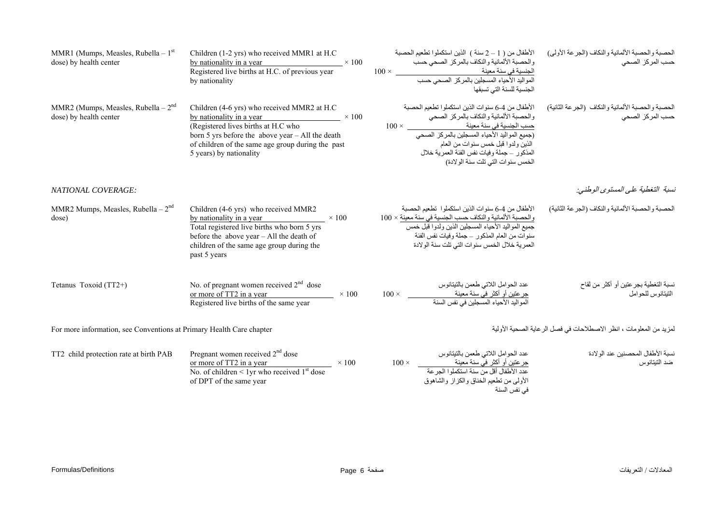| MMR1 (Mumps, Measles, Rubella – $1st$<br>dose) by health center      | Children (1-2 yrs) who received MMR1 at H.C<br>by nationality in a year $\times 100$<br>Registered live births at H.C. of previous year<br>by nationality                                                                                                         | الأطفال من (1 – 2 سنة ) الذين استكملوا تطعيم الحصبة<br>والحصبة الألمانية والنكاف بالمركز الصحى حسب<br>الجنسية في سنة معينة<br>المواليد الأحياء المسجلين بالمركز الصحي حسب<br>الجنسية للسنة التي تسبقها                                                                                                                        | الحصبة والحصبة الألمانية والنكاف (الجرعة الأولى)<br>حسب المركز الصحى  |
|----------------------------------------------------------------------|-------------------------------------------------------------------------------------------------------------------------------------------------------------------------------------------------------------------------------------------------------------------|-------------------------------------------------------------------------------------------------------------------------------------------------------------------------------------------------------------------------------------------------------------------------------------------------------------------------------|-----------------------------------------------------------------------|
| MMR2 (Mumps, Measles, Rubella $-2nd$<br>dose) by health center       | Children (4-6 yrs) who received MMR2 at H.C<br>by nationality in a year $\times 100$<br>(Registered lives births at H.C who<br>born 5 yrs before the above year $-$ All the death<br>of children of the same age group during the past<br>5 years) by nationality | الأطفال من 4-6 سنوات الذين استكملوا تطعيم الحصبة<br>والحصبة الألمانية والنكاف بالمركز الصحى<br>حسب الجنسية في سنة معينة<br>جسب الجنسية في سنة معينة<br>(جميع المواليد الأحياء المسجلين بالمركز الصحي<br>الذين ولدوا قبل خمس سنوات من العام<br>المذكور _جملة وفيات نفس الفئة العمرية خلال<br>الخمس سنوات التي تلت سنة الولادة) | الحصبة والحصبة الألمانية والنكاف (الجرعة الثانية)<br>حسب المركز الصحى |
| <b>NATIONAL COVERAGE:</b>                                            |                                                                                                                                                                                                                                                                   |                                                                                                                                                                                                                                                                                                                               | نسبة التغطية على المستوى الوطني:                                      |
| MMR2 Mumps, Measles, Rubella $-2nd$<br>dose)                         | Children (4-6 yrs) who received MMR2<br>by nationality in a year<br>$\times$ 100<br>Total registered live births who born 5 yrs<br>before the above year - All the death of<br>children of the same age group during the<br>past 5 years                          | الأطفال من 4-6 سنو ات الذين استكملو ا  تطعيم الحصبة<br>والحصبة الألمانية والنكاف حسب الجنسية في سنة معينة × 100<br>جميع المواليد الأحياء المسجلين الذين ولدوا قبل خمس<br>سنوات من العام المذكور –جملة وفيات نفس الفئة<br>العمرية خلال الخمس سنوات التي تلت سنة الولادة                                                        | الحصبة والحصبة الألمانية والنكاف (الجرعة الثانية)                     |
| Tetanus Toxoid (TT2+)                                                | No. of pregnant women received $2nd$ dose<br>or more of TT2 in a year<br>$\times$ 100<br>Registered live births of the same year                                                                                                                                  | عدد الحوامل اللاتي طعمن بالتيتانوس<br>جر عنين أو أكثر في سنة معينة<br>المواليد الأحياء المسجلين في نفس السنة<br>$100 \times$                                                                                                                                                                                                  | نسبة التغطية بجر عتين أو أكثر من لقاح<br>التيتانوس للحوامل            |
| For more information, see Conventions at Primary Health Care chapter |                                                                                                                                                                                                                                                                   |                                                                                                                                                                                                                                                                                                                               | لمزيد من المعلومات ، انظر الاصطلاحات في فصل الرعاية الصحية الأولية    |
| TT2 child protection rate at birth PAB                               | Pregnant women received $2nd$ dose<br>or more of TT2 in a year<br>$\times$ 100<br>No. of children $\leq 1$ yr who received 1 <sup>st</sup> dose<br>of DPT of the same year                                                                                        | عدد الحوامل اللاتي طعمن بالتيتانوس<br>جرعتين أو أكثر في سنة معينة<br>$100 \times$<br>عدد الأطفال أقل من سنة استكملوا الجرعة<br>الأولى من نطعيم الخناق والكزاز والشاهوق<br>في نفس السنة                                                                                                                                        | نسبة الأطفال المحصنين عند الو لادة<br>ضد التيتانوس                    |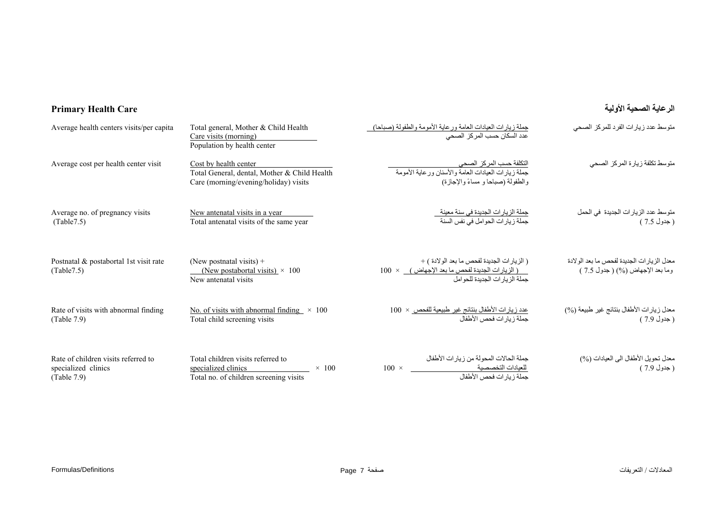# **الرعاية الصحية الأولية Care Health Primary**

| Average health centers visits/per capita                                  | Total general, Mother & Child Health<br>Care visits (morning)<br>Population by health center                       | جملة زيارات العيادات العامة ورعاية الأمومة والطفولة (صباحا)<br>عدد السكان حسب المركز الصحى                                                        | متوسط عدد زيارات الفرد للمركز الصحى                                           |
|---------------------------------------------------------------------------|--------------------------------------------------------------------------------------------------------------------|---------------------------------------------------------------------------------------------------------------------------------------------------|-------------------------------------------------------------------------------|
| Average cost per health center visit                                      | Cost by health center<br>Total General, dental, Mother & Child Health<br>Care (morning/evening/holiday) visits     | <u>التكلفة حسب المركز الصحي</u><br>.<br>جملة زيار ات العيادات العامة و الأسنان ور عاية الأمومة<br>والطفولة (صباحا و مساءً والإجازة)               | متوسط تكلفة زيارة المركز الصحى                                                |
| Average no. of pregnancy visits<br>(Table 7.5)                            | New antenatal visits in a year<br>Total antenatal visits of the same year                                          | جملة الزيارات الجديدة في سنة معينة<br>جملة زيارات الحوامل في نفس السنة                                                                            | متوسط عدد الزيارات الجديدة في الحمل<br>( جدول 7.5 )                           |
| Postnatal & postabortal 1st visit rate<br>(Table7.5)                      | (New postnatal visits) $+$<br>(New postabortal visits) $\times$ 100<br>New antenatal visits                        | ( الزيارات الجديدة لفحص ما بعد الولادة ) +<br>$100 \times$ ( الزيار ات الجديدة لفحص ما بعد الإجهاض) $\times 100$<br>جملة الزيارات الجديدة للحوامل | معدل الزيارات الجديدة لفحص ما بعد الولادة<br>وما بعد الإجهاض (%) ( جدول 7.5 ) |
| Rate of visits with abnormal finding<br>(Table 7.9)                       | No. of visits with abnormal finding $\times$ 100<br>Total child screening visits                                   | <u>عدد زيارات الأطفال بنتائج غير طبيعية للفحص</u> ×  100<br>جملة زيارات فحص الأطفال                                                               | معدل زيارات الأطفال بنتائج غير طبيعة (%)<br>( جدول 7.9 )                      |
| Rate of children visits referred to<br>specialized clinics<br>(Table 7.9) | Total children visits referred to<br>specialized clinics<br>$\times$ 100<br>Total no. of children screening visits | جملة الحالات المحولة من زيارات الأطفال<br>للعيادات التخصصية<br>جملة زيارات فحص الأطفال                                                            | معدل تحويل الأطفال الى العيادات (%)<br>( جدول 7.9 )                           |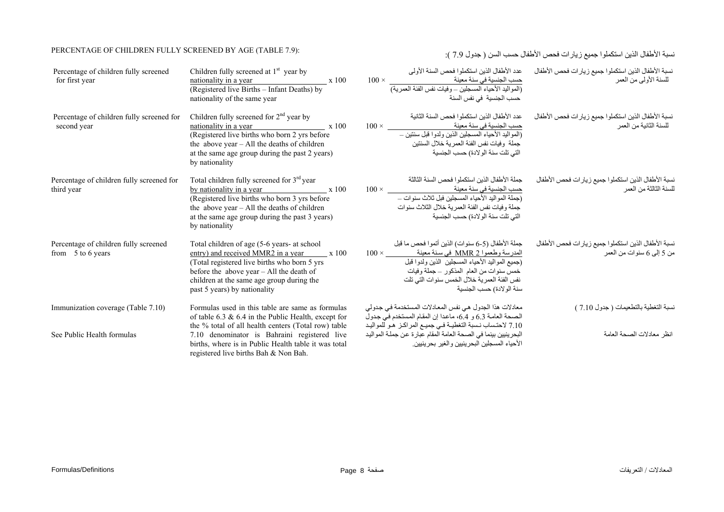# نسبة الأطفال الذين استكملوا جميع زيارات فحص الأطفال حسب السن ( جدول 7.9 ): " PERCENTAGE OF CHILDREN FULLY SCREENED BY AGE (TABLE 7.9)

| Percentage of children fully screened<br>for first year      | Children fully screened at $1st$ year by<br>nationality in a year<br>x 100<br>(Registered live Births - Infant Deaths) by<br>nationality of the same year                                                                                                           | عدد الأطفال الذين استكملوا فحص السنة الأولى<br>حسب الجنسية في سنة معينة معينة المعينة المعينة و 100 × 100<br>(المواليد الأحياء المسجلين – وفيات نفس الفئة العمرية)<br>حسب الجنسية  في نفس السنة                                                                          | نسبة الأطفال الذين استكملوا جميع زيارات فحص الأطفال<br>للسنة الأولىي من العمر     |
|--------------------------------------------------------------|---------------------------------------------------------------------------------------------------------------------------------------------------------------------------------------------------------------------------------------------------------------------|--------------------------------------------------------------------------------------------------------------------------------------------------------------------------------------------------------------------------------------------------------------------------|-----------------------------------------------------------------------------------|
| Percentage of children fully screened for<br>second year     | Children fully screened for $2nd$ year by<br>nationality in a year x 100<br>(Registered live births who born 2 yrs before<br>the above year - All the deaths of children<br>at the same age group during the past 2 years)<br>by nationality                        | عدد الأطفال الذين استكملوا فحص السنة الثانية<br>جملة وفيات نفس الفئة العمرية خلال السنتين<br>التي تلت سنة الولادة) حسب الجنسية                                                                                                                                           | نسبة الأطفال الذين استكملوا جميع زيارات فحص الأطفال<br>للسنة الثانية من العمر     |
| Percentage of children fully screened for<br>third year      | Total children fully screened for 3 <sup>rd</sup> year<br>by nationality in a year $x 100$<br>(Registered live births who born 3 yrs before<br>the above year $-$ All the deaths of children<br>at the same age group during the past 3 years)<br>by nationality    | جملة الأطفال الذين استكملوا فحص السنة الثالثة<br>حسب الجنسية في سنة معينة<br>$100 \times$<br>(جملة المواليد الأحياء المسجلين فبل ثلاث سنوات -<br>جملة وفيات نفس الفئة العمرية خلال الثلاث سنوات<br>التي تلت سنة الولادة) حسب الجنسية                                     | نسبة الأطفال الذين استكملوا جميع زيارات فحص الأطفال<br>للسنة الثالثة من العمر     |
| Percentage of children fully screened<br>from $5$ to 6 years | Total children of age (5-6 years- at school<br>entry) and received MMR2 in a year x 100<br>(Total registered live births who born 5 yrs)<br>before the above year $-$ All the death of<br>children at the same age group during the<br>past 5 years) by nationality | جملة الأطفال (5-6 سنوات) الذين أتموا فحص ما قبل<br>المدرسة وطعموا MMR 2 في سنة معينة مصل × 100<br>(جميع المواليد الأحياء المسجلين الذين ولدوا قبل<br>خمس سنوات من العام المذكور – جملة وفيات<br>نفس الفئة العمرية خلال الخمس سنوات التي تلت<br>سنة الو لادة) حسب الجنسية | نسبة الأطفال الذين استكملوا جميع زيارات فحص الأطفال<br>من 5 إلىي 6 سنوات من العمر |
| Immunization coverage (Table 7.10)                           | Formulas used in this table are same as formulas<br>of table 6.3 $\&$ 6.4 in the Public Health, except for                                                                                                                                                          | معادلات هذا الجدول هي نفس المعادلات المستخدمة في جدولي<br>الصحة العامة 6.3 و 6.4، ماعدا إن المقام المستخدم في جدول                                                                                                                                                       | نسبة التغطية بالتطعيمات ( جدول 7.10 )                                             |
| See Public Health formulas                                   | the % total of all health centers (Total row) table<br>7.10 denominator is Bahraini registered live<br>births, where is in Public Health table it was total<br>registered live births Bah & Non Bah.                                                                | 7.10 لاحتساب نسبة التغطية في جميع المراكـز هـو للمواليـد<br>البحرينيين بينما في الصحة العامة المقام عبارة عن جملة المواليد<br>الأحياء المسجلين البحر ينبين والغير بحر ينيين                                                                                              | انظر معادلات الصحة العامة                                                         |